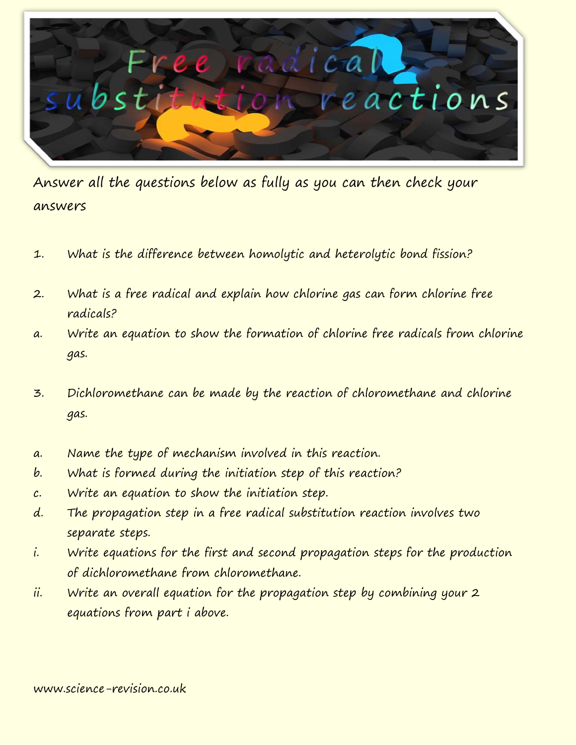

Answer all the questions below as fully as you can then check your answers

- 1. What is the difference between homolytic and heterolytic bond fission?
- 2. What is a free radical and explain how chlorine gas can form chlorine free radicals?
- a. Write an equation to show the formation of chlorine free radicals from chlorine gas.
- 3. Dichloromethane can be made by the reaction of chloromethane and chlorine gas.
- a. Name the type of mechanism involved in this reaction.
- b. What is formed during the initiation step of this reaction?
- c. Write an equation to show the initiation step.
- d. The propagation step in a free radical substitution reaction involves two separate steps.
- i. Write equations for the first and second propagation steps for the production of dichloromethane from chloromethane.
- ii. Write an overall equation for the propagation step by combining your 2 equations from part i above.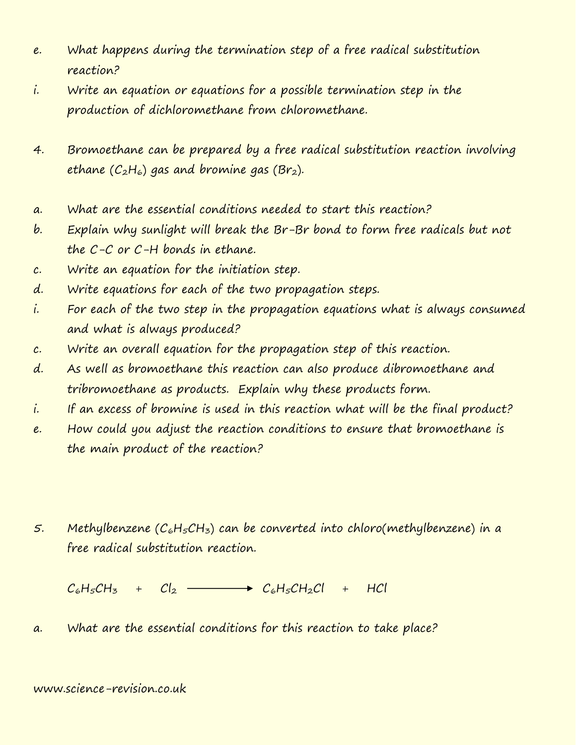- e. What happens during the termination step of a free radical substitution reaction?
- i. Write an equation or equations for a possible termination step in the production of dichloromethane from chloromethane.
- 4. Bromoethane can be prepared by a free radical substitution reaction involving ethane  $(C_2H_6)$  gas and bromine gas (Br<sub>2</sub>).
- a. What are the essential conditions needed to start this reaction?
- b. Explain why sunlight will break the Br-Br bond to form free radicals but not the C-C or C-H bonds in ethane.
- c. Write an equation for the initiation step.
- d. Write equations for each of the two propagation steps.
- i. For each of the two step in the propagation equations what is always consumed and what is always produced?
- c. Write an overall equation for the propagation step of this reaction.
- d. As well as bromoethane this reaction can also produce dibromoethane and tribromoethane as products. Explain why these products form.
- i. If an excess of bromine is used in this reaction what will be the final product?
- e. How could you adjust the reaction conditions to ensure that bromoethane is the main product of the reaction?
- 5. Methylbenzene  $(C_6H_5CH_3)$  can be converted into chloro(methylbenzene) in a free radical substitution reaction.

 $C_6H_5CH_5 + C_2 \longrightarrow C_6H_5CH_2Cl + HCl$ 

a. What are the essential conditions for this reaction to take place?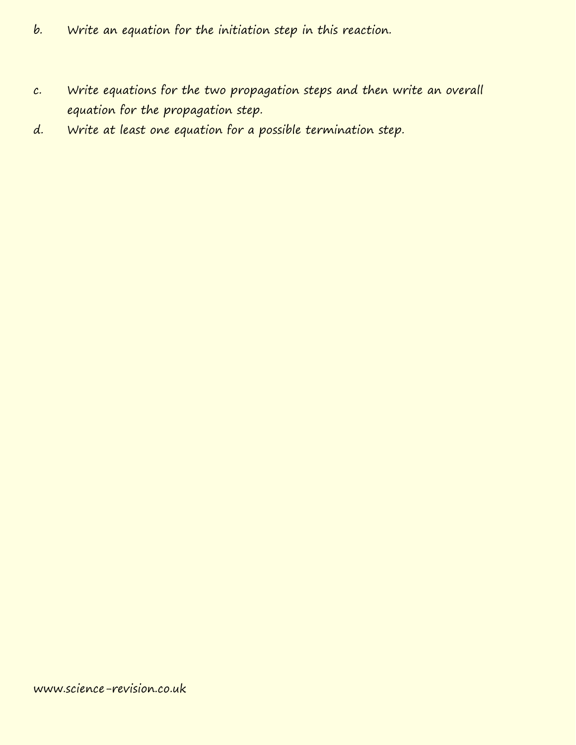- b. Write an equation for the initiation step in this reaction.
- c. Write equations for the two propagation steps and then write an overall equation for the propagation step.
- d. Write at least one equation for a possible termination step.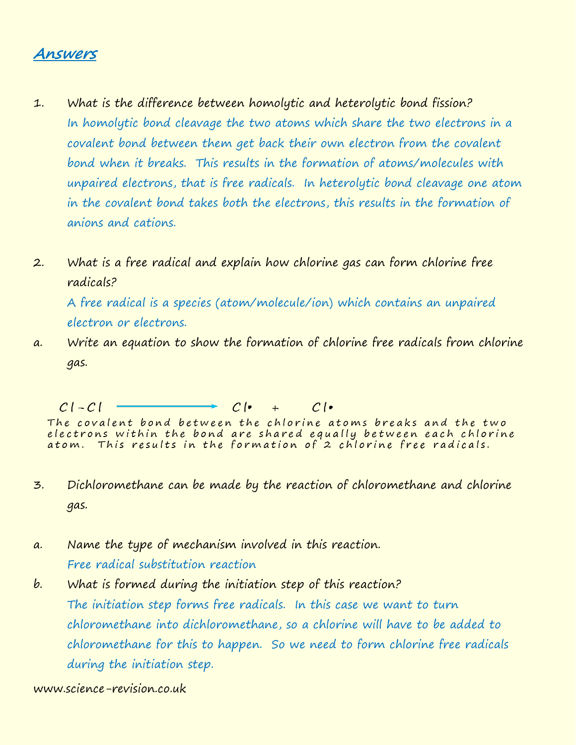## **Answers**

- 1. What is the difference between homolytic and heterolytic bond fission? In homolytic bond cleavage the two atoms which share the two electrons in a covalent bond between them get back their own electron from the covalent bond when it breaks. This results in the formation of atoms/molecules with unpaired electrons, that is free radicals. In heterolytic bond cleavage one atom in the covalent bond takes both the electrons, this results in the formation of anions and cations.
- 2. What is a free radical and explain how chlorine gas can form chlorine free radicals? A free radical is a species (atom/molecule/ion) which contains an unpaired electron or electrons.
- a. Write an equation to show the formation of chlorine free radicals from chlorine gas.

 $Cl - Cl$  $\rightarrow$   $C$  |  $\bullet$  +  $C$  |  $\bullet$ 

The covalent bond between the chlorine atoms breaks and the two electrons within the bond are shared equally between each chlorine<br>atom. This results in the formation of 2 chlorine free radicals.

- 3. Dichloromethane can be made by the reaction of chloromethane and chlorine gas.
- a. Name the type of mechanism involved in this reaction. Free radical substitution reaction
- b. What is formed during the initiation step of this reaction? The initiation step forms free radicals. In this case we want to turn chloromethane into dichloromethane, so a chlorine will have to be added to chloromethane for this to happen. So we need to form chlorine free radicals during the initiation step.

www.science-revision.co.uk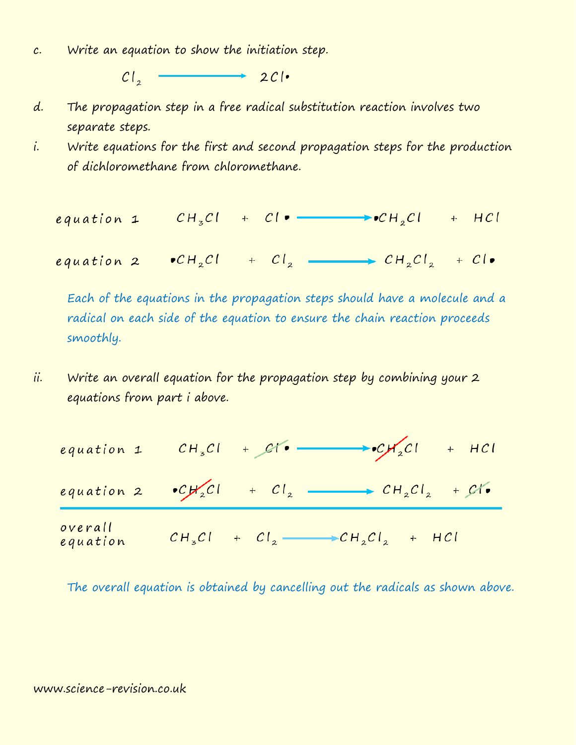c. Write an equation to show the initiation step.

 $\overline{\phantom{a}}$  2Cl.  $Cl_{2}$  -

- d. The propagation step in a free radical substitution reaction involves two separate steps.
- i. Write equations for the first and second propagation steps for the production of dichloromethane from chloromethane.

equation 1 
$$
CH_zCl + Cl \bullet
$$
  $\longrightarrow$   $CH_zCl + HCl$ 

equation 2  $\bullet CH_2Cl$  +  $Cl_2$   $\rightarrow CH_2Cl_2$  +  $Cl_9$ 

Each of the equations in the propagation steps should have a molecule and a radical on each side of the equation to ensure the chain reaction proceeds smoothly.

ii. Write an overall equation for the propagation step by combining your 2 equations from part i above.

equation 1 
$$
CH_zCl + Cl_2
$$
  $CH_zCl + HCl$   
\nequation 2  $CL_zCl + Cl_2$   $CH_zCl_2 + Cl_2$   
\noverall  
\nequation  $CH_zCl + Cl_2$   $CH_zCl_2 + Cl_2$ 

The overall equation is obtained by cancelling out the radicals as shown above.

## www.science-revision.co.uk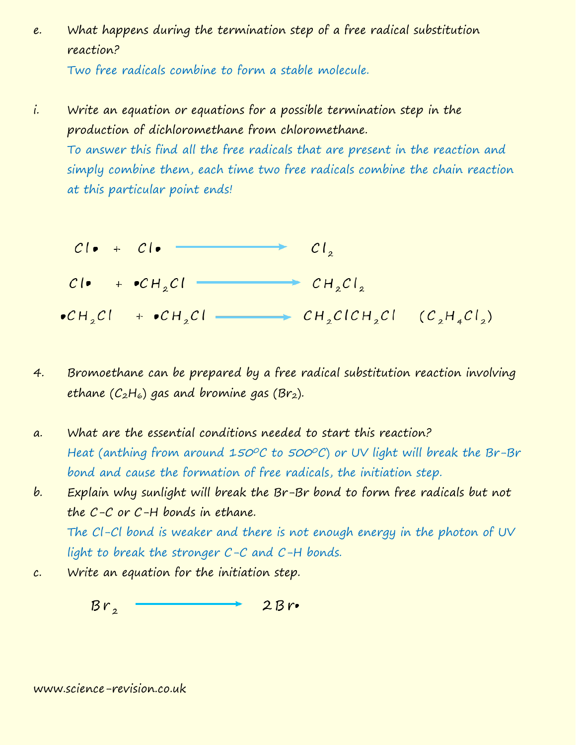e. What happens during the termination step of a free radical substitution reaction?

Two free radicals combine to form a stable molecule.

i. Write an equation or equations for a possible termination step in the production of dichloromethane from chloromethane.

To answer this find all the free radicals that are present in the reaction and simply combine them, each time two free radicals combine the chain reaction at this particular point ends!

$$
Cl_{\bullet} + Cl_{\bullet}
$$
  
\n
$$
Cl_{\bullet} + \bullet CH_{2}Cl \longrightarrow CH_{2}Cl_{2}
$$
  
\n
$$
\bullet CH_{2}Cl \leftarrow \bullet CH_{2}Cl \longrightarrow CH_{2}ClCH_{2}Cl \quad (C_{2}H_{4}Cl_{2})
$$

- 4. Bromoethane can be prepared by a free radical substitution reaction involving ethane  $(C_2H_6)$  gas and bromine gas (Br<sub>2</sub>).
- a. What are the essential conditions needed to start this reaction? Heat (anthing from around 150°C to 500°C) or UV light will break the Br-Br bond and cause the formation of free radicals, the initiation step.
- b. Explain why sunlight will break the Br-Br bond to form free radicals but not the C-C or C-H bonds in ethane. The Cl-Cl bond is weaker and there is not enough energy in the photon of UV light to break the stronger C-C and C-H bonds.
- c. Write an equation for the initiation step.

 $Br<sub>2</sub>$  $2Br$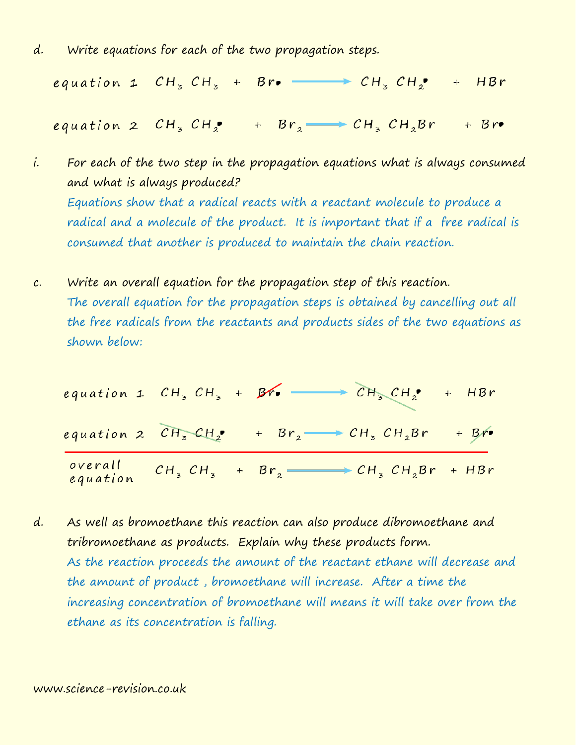d. Write equations for each of the two propagation steps.

equation 1  $CH_3CH_3 + Bre$   $\longrightarrow CH_3 CH_2 + HBr$ 

equation 2  $CH_3 CH_2$  +  $Br_2 \longrightarrow CH_3 CH_2Br$  + Br.

- i. For each of the two step in the propagation equations what is always consumed and what is always produced? Equations show that a radical reacts with a reactant molecule to produce a radical and a molecule of the product. It is important that if a free radical is consumed that another is produced to maintain the chain reaction.
- c. Write an overall equation for the propagation step of this reaction. The overall equation for the propagation steps is obtained by cancelling out all the free radicals from the reactants and products sides of the two equations as shown below:

equation 1  $CH_3CH_3 + BP_9$   $\longrightarrow CH_3 CH_2^9 + HBr$ equation 2  $CH_3CH_2$  +  $Br_2 \longrightarrow CH_3 CH_2Br$  + Br.  $CH_3 CH_3 + Br_2 \longrightarrow CH_3 CH_2Br + HBr$ overall equation

d. As well as bromoethane this reaction can also produce dibromoethane and tribromoethane as products. Explain why these products form. As the reaction proceeds the amount of the reactant ethane will decrease and the amount of product , bromoethane will increase. After a time the increasing concentration of bromoethane will means it will take over from the ethane as its concentration is falling.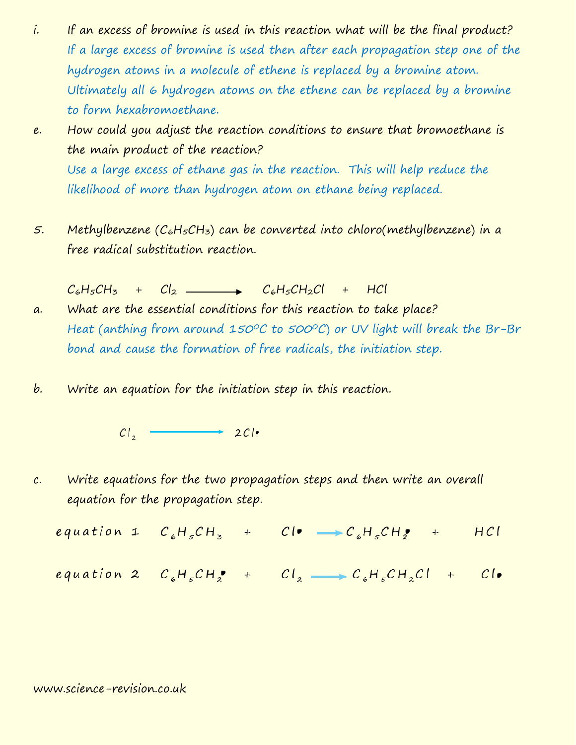- i. If an excess of bromine is used in this reaction what will be the final product? If a large excess of bromine is used then after each propagation step one of the hydrogen atoms in a molecule of ethene is replaced by a bromine atom. Ultimately all 6 hydrogen atoms on the ethene can be replaced by a bromine to form hexabromoethane.
- e. How could you adjust the reaction conditions to ensure that bromoethane is the main product of the reaction? Use a large excess of ethane gas in the reaction. This will help reduce the likelihood of more than hydrogen atom on ethane being replaced.
- 5. Methylbenzene  $(C_6H_5CH_3)$  can be converted into chloro(methylbenzene) in a free radical substitution reaction.
- $C_6H_5CH_3 + C_2$  C<sub>6</sub>H<sub>5</sub>CH<sub>2</sub>Cl + HCl a. What are the essential conditions for this reaction to take place? Heat (anthing from around 150°C to 500°C) or UV light will break the Br-Br bond and cause the formation of free radicals, the initiation step.
- b. Write an equation for the initiation step in this reaction.

 $Cl_2$  201.

c. Write equations for the two propagation steps and then write an overall equation for the propagation step.

equation 1  $C_6H_5CH_3$  +  $Cl^{\bullet} \longrightarrow C_6H_5CH_2^{\bullet}$  + HCl

equation 2  $C_{\varepsilon}H_{\varepsilon}CH_{\varepsilon}^{\bullet}$  +  $Cl_{\varepsilon}$   $\longrightarrow$   $C_{\varepsilon}H_{\varepsilon}CH_{\varepsilon}CH_{\varepsilon}CH_{\varepsilon}$ 

## www.science-revision.co.uk